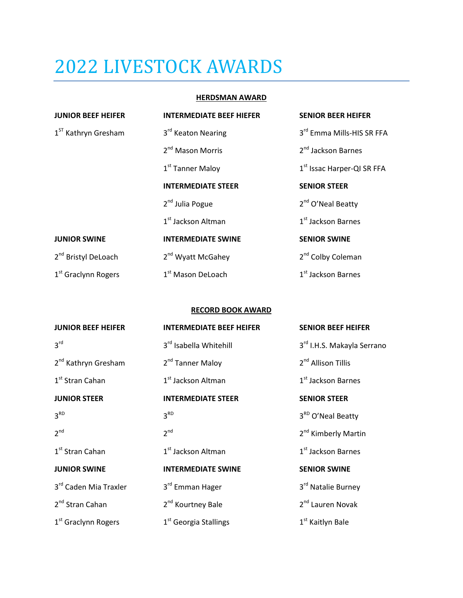# 2022 LIVESTOCK AWARDS

# **HERDSMAN AWARD**

| <b>JUNIOR BEEF HEIFER</b>       | <b>INTERMEDIATE BEEF HIEFER</b> | <b>SENIOR BEER HEIFER</b>              |
|---------------------------------|---------------------------------|----------------------------------------|
| 1 <sup>ST</sup> Kathryn Gresham | 3rd Keaton Nearing              | 3rd Emma Mills-HIS SR FFA              |
|                                 | 2 <sup>nd</sup> Mason Morris    | 2 <sup>nd</sup> Jackson Barnes         |
|                                 | 1 <sup>st</sup> Tanner Maloy    | 1 <sup>st</sup> Issac Harper-QI SR FFA |
|                                 | <b>INTERMEDIATE STEER</b>       | <b>SENIOR STEER</b>                    |
|                                 | 2 <sup>nd</sup> Julia Pogue     | 2 <sup>nd</sup> O'Neal Beatty          |
|                                 | 1 <sup>st</sup> Jackson Altman  | 1 <sup>st</sup> Jackson Barnes         |
| <b>JUNIOR SWINE</b>             | <b>INTERMEDIATE SWINE</b>       | <b>SENIOR SWINE</b>                    |
| 2 <sup>nd</sup> Bristyl DeLoach | 2 <sup>nd</sup> Wyatt McGahey   | 2 <sup>nd</sup> Colby Coleman          |
| 1 <sup>st</sup> Graclynn Rogers | 1 <sup>st</sup> Mason DeLoach   | 1 <sup>st</sup> Jackson Barnes         |

# **RECORD BOOK AWARD**

| <b>JUNIOR BEEF HEIFER</b>       | <b>INTERMEDIATE BEEF HEIFER</b>    | <b>SENIOR BEEF HEIFER</b>       |
|---------------------------------|------------------------------------|---------------------------------|
| 3 <sup>rd</sup>                 | 3 <sup>rd</sup> Isabella Whitehill | 3rd I.H.S. Makayla Serrano      |
| 2 <sup>nd</sup> Kathryn Gresham | 2 <sup>nd</sup> Tanner Maloy       | 2 <sup>nd</sup> Allison Tillis  |
| 1 <sup>st</sup> Stran Cahan     | 1 <sup>st</sup> Jackson Altman     | 1 <sup>st</sup> Jackson Barnes  |
| <b>JUNIOR STEER</b>             | <b>INTERMEDIATE STEER</b>          | <b>SENIOR STEER</b>             |
| 3 <sup>RD</sup>                 | 3 <sup>RD</sup>                    | 3 <sup>RD</sup> O'Neal Beatty   |
| 2 <sup>nd</sup>                 | 2 <sup>nd</sup>                    | 2 <sup>nd</sup> Kimberly Martin |
| $1st$ Stran Cahan               | 1 <sup>st</sup> Jackson Altman     | 1 <sup>st</sup> Jackson Barnes  |
| <b>JUNIOR SWINE</b>             | <b>INTERMEDIATE SWINE</b>          | <b>SENIOR SWINE</b>             |
| 3rd Caden Mia Traxler           | 3rd Emman Hager                    | 3rd Natalie Burney              |
| 2 <sup>nd</sup> Stran Cahan     | 2 <sup>nd</sup> Kourtney Bale      | 2 <sup>nd</sup> Lauren Novak    |
| 1 <sup>st</sup> Graclynn Rogers | 1 <sup>st</sup> Georgia Stallings  | 1 <sup>st</sup> Kaitlyn Bale    |